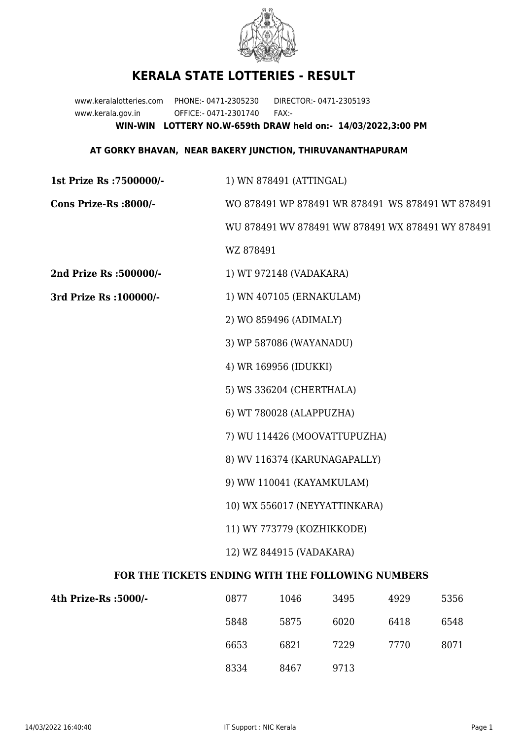

## **KERALA STATE LOTTERIES - RESULT**

www.keralalotteries.com PHONE:- 0471-2305230 DIRECTOR:- 0471-2305193 www.kerala.gov.in OFFICE:- 0471-2301740 FAX:- **WIN-WIN LOTTERY NO.W-659th DRAW held on:- 14/03/2022,3:00 PM**

## **AT GORKY BHAVAN, NEAR BAKERY JUNCTION, THIRUVANANTHAPURAM**

| 1st Prize Rs : 7500000/-                          | 1) WN 878491 (ATTINGAL)                           |      |      |      |      |  |
|---------------------------------------------------|---------------------------------------------------|------|------|------|------|--|
| Cons Prize-Rs :8000/-                             | WO 878491 WP 878491 WR 878491 WS 878491 WT 878491 |      |      |      |      |  |
|                                                   | WU 878491 WV 878491 WW 878491 WX 878491 WY 878491 |      |      |      |      |  |
|                                                   | WZ 878491                                         |      |      |      |      |  |
| 2nd Prize Rs :500000/-                            | 1) WT 972148 (VADAKARA)                           |      |      |      |      |  |
| 3rd Prize Rs : 100000/-                           | 1) WN 407105 (ERNAKULAM)                          |      |      |      |      |  |
|                                                   | 2) WO 859496 (ADIMALY)                            |      |      |      |      |  |
|                                                   | 3) WP 587086 (WAYANADU)                           |      |      |      |      |  |
|                                                   | 4) WR 169956 (IDUKKI)                             |      |      |      |      |  |
|                                                   | 5) WS 336204 (CHERTHALA)                          |      |      |      |      |  |
|                                                   | 6) WT 780028 (ALAPPUZHA)                          |      |      |      |      |  |
|                                                   | 7) WU 114426 (MOOVATTUPUZHA)                      |      |      |      |      |  |
|                                                   | 8) WV 116374 (KARUNAGAPALLY)                      |      |      |      |      |  |
|                                                   | 9) WW 110041 (KAYAMKULAM)                         |      |      |      |      |  |
|                                                   | 10) WX 556017 (NEYYATTINKARA)                     |      |      |      |      |  |
|                                                   | 11) WY 773779 (KOZHIKKODE)                        |      |      |      |      |  |
|                                                   | 12) WZ 844915 (VADAKARA)                          |      |      |      |      |  |
| FOR THE TICKETS ENDING WITH THE FOLLOWING NUMBERS |                                                   |      |      |      |      |  |
| 4th Prize-Rs :5000/-                              | 0877                                              | 1046 | 3495 | 4929 | 5356 |  |

| 4th Prize-Rs :5000/- | 0877 | 1046 | 3495 | 4929 | 5356 |
|----------------------|------|------|------|------|------|
|                      | 5848 | 5875 | 6020 | 6418 | 6548 |
|                      | 6653 | 6821 | 7229 | 7770 | 8071 |
|                      | 8334 | 8467 | 9713 |      |      |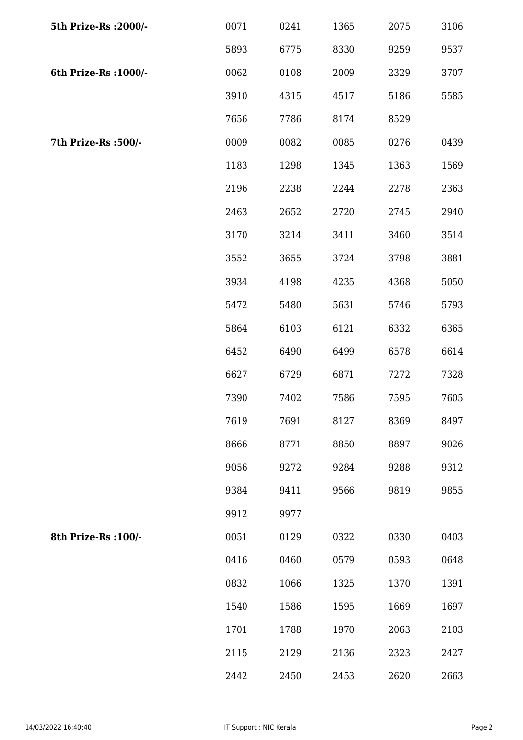| 5th Prize-Rs : 2000/- | 0071 | 0241 | 1365 | 2075 | 3106 |
|-----------------------|------|------|------|------|------|
|                       | 5893 | 6775 | 8330 | 9259 | 9537 |
| 6th Prize-Rs : 1000/- | 0062 | 0108 | 2009 | 2329 | 3707 |
|                       | 3910 | 4315 | 4517 | 5186 | 5585 |
|                       | 7656 | 7786 | 8174 | 8529 |      |
| 7th Prize-Rs :500/-   | 0009 | 0082 | 0085 | 0276 | 0439 |
|                       | 1183 | 1298 | 1345 | 1363 | 1569 |
|                       | 2196 | 2238 | 2244 | 2278 | 2363 |
|                       | 2463 | 2652 | 2720 | 2745 | 2940 |
|                       | 3170 | 3214 | 3411 | 3460 | 3514 |
|                       | 3552 | 3655 | 3724 | 3798 | 3881 |
|                       | 3934 | 4198 | 4235 | 4368 | 5050 |
|                       | 5472 | 5480 | 5631 | 5746 | 5793 |
|                       | 5864 | 6103 | 6121 | 6332 | 6365 |
|                       | 6452 | 6490 | 6499 | 6578 | 6614 |
|                       | 6627 | 6729 | 6871 | 7272 | 7328 |
|                       | 7390 | 7402 | 7586 | 7595 | 7605 |
|                       | 7619 | 7691 | 8127 | 8369 | 8497 |
|                       | 8666 | 8771 | 8850 | 8897 | 9026 |
|                       | 9056 | 9272 | 9284 | 9288 | 9312 |
|                       | 9384 | 9411 | 9566 | 9819 | 9855 |
|                       | 9912 | 9977 |      |      |      |
| 8th Prize-Rs : 100/-  | 0051 | 0129 | 0322 | 0330 | 0403 |
|                       | 0416 | 0460 | 0579 | 0593 | 0648 |
|                       | 0832 | 1066 | 1325 | 1370 | 1391 |
|                       | 1540 | 1586 | 1595 | 1669 | 1697 |
|                       | 1701 | 1788 | 1970 | 2063 | 2103 |
|                       | 2115 | 2129 | 2136 | 2323 | 2427 |
|                       | 2442 | 2450 | 2453 | 2620 | 2663 |